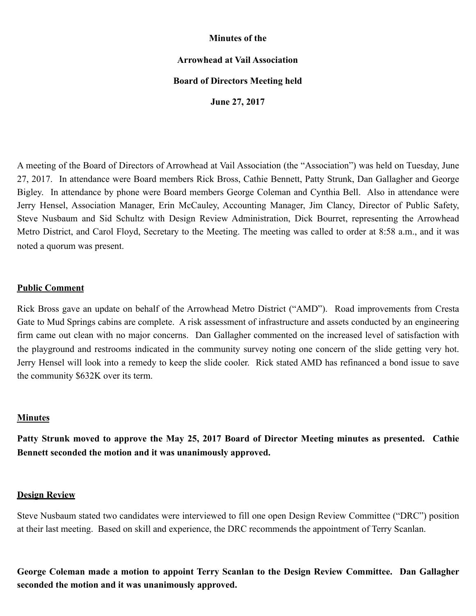# **Minutes of the**

# **Arrowhead at Vail Association**

### **Board of Directors Meeting held**

**June 27, 2017** 

A meeting of the Board of Directors of Arrowhead at Vail Association (the "Association") was held on Tuesday, June 27, 2017. In attendance were Board members Rick Bross, Cathie Bennett, Patty Strunk, Dan Gallagher and George Bigley. In attendance by phone were Board members George Coleman and Cynthia Bell. Also in attendance were Jerry Hensel, Association Manager, Erin McCauley, Accounting Manager, Jim Clancy, Director of Public Safety, Steve Nusbaum and Sid Schultz with Design Review Administration, Dick Bourret, representing the Arrowhead Metro District, and Carol Floyd, Secretary to the Meeting. The meeting was called to order at 8:58 a.m., and it was noted a quorum was present.

### **Public Comment**

Rick Bross gave an update on behalf of the Arrowhead Metro District ("AMD"). Road improvements from Cresta Gate to Mud Springs cabins are complete. A risk assessment of infrastructure and assets conducted by an engineering firm came out clean with no major concerns. Dan Gallagher commented on the increased level of satisfaction with the playground and restrooms indicated in the community survey noting one concern of the slide getting very hot. Jerry Hensel will look into a remedy to keep the slide cooler. Rick stated AMD has refinanced a bond issue to save the community \$632K over its term.

### **Minutes**

**Patty Strunk moved to approve the May 25, 2017 Board of Director Meeting minutes as presented. Cathie Bennett seconded the motion and it was unanimously approved.** 

#### **Design Review**

Steve Nusbaum stated two candidates were interviewed to fill one open Design Review Committee ("DRC") position at their last meeting. Based on skill and experience, the DRC recommends the appointment of Terry Scanlan.

**George Coleman made a motion to appoint Terry Scanlan to the Design Review Committee. Dan Gallagher seconded the motion and it was unanimously approved.**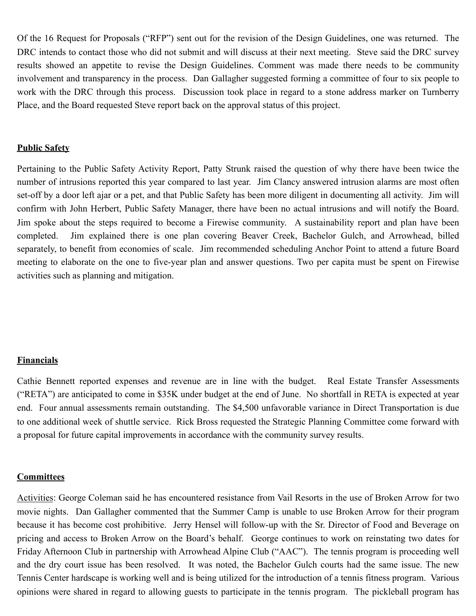Of the 16 Request for Proposals ("RFP") sent out for the revision of the Design Guidelines, one was returned. The DRC intends to contact those who did not submit and will discuss at their next meeting. Steve said the DRC survey results showed an appetite to revise the Design Guidelines. Comment was made there needs to be community involvement and transparency in the process. Dan Gallagher suggested forming a committee of four to six people to work with the DRC through this process. Discussion took place in regard to a stone address marker on Turnberry Place, and the Board requested Steve report back on the approval status of this project.

### **Public Safety**

Pertaining to the Public Safety Activity Report, Patty Strunk raised the question of why there have been twice the number of intrusions reported this year compared to last year. Jim Clancy answered intrusion alarms are most often set-off by a door left ajar or a pet, and that Public Safety has been more diligent in documenting all activity. Jim will confirm with John Herbert, Public Safety Manager, there have been no actual intrusions and will notify the Board. Jim spoke about the steps required to become a Firewise community. A sustainability report and plan have been completed. Jim explained there is one plan covering Beaver Creek, Bachelor Gulch, and Arrowhead, billed separately, to benefit from economies of scale. Jim recommended scheduling Anchor Point to attend a future Board meeting to elaborate on the one to five-year plan and answer questions. Two per capita must be spent on Firewise activities such as planning and mitigation.

# **Financials**

Cathie Bennett reported expenses and revenue are in line with the budget. Real Estate Transfer Assessments ("RETA") are anticipated to come in \$35K under budget at the end of June. No shortfall in RETA is expected at year end. Four annual assessments remain outstanding. The \$4,500 unfavorable variance in Direct Transportation is due to one additional week of shuttle service. Rick Bross requested the Strategic Planning Committee come forward with a proposal for future capital improvements in accordance with the community survey results.

# **Committees**

Activities: George Coleman said he has encountered resistance from Vail Resorts in the use of Broken Arrow for two movie nights. Dan Gallagher commented that the Summer Camp is unable to use Broken Arrow for their program because it has become cost prohibitive. Jerry Hensel will follow-up with the Sr. Director of Food and Beverage on pricing and access to Broken Arrow on the Board's behalf. George continues to work on reinstating two dates for Friday Afternoon Club in partnership with Arrowhead Alpine Club ("AAC"). The tennis program is proceeding well and the dry court issue has been resolved. It was noted, the Bachelor Gulch courts had the same issue. The new Tennis Center hardscape is working well and is being utilized for the introduction of a tennis fitness program. Various opinions were shared in regard to allowing guests to participate in the tennis program. The pickleball program has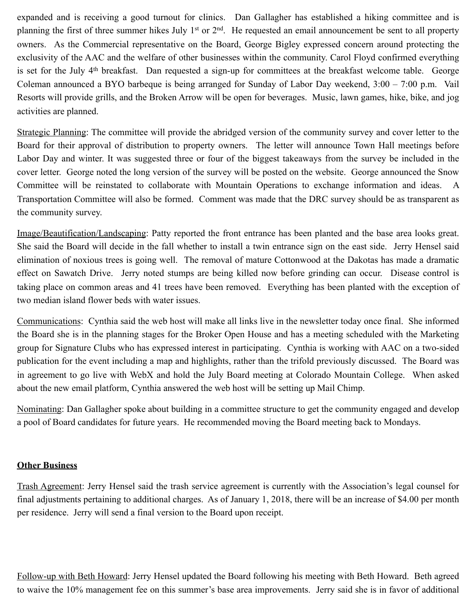expanded and is receiving a good turnout for clinics. Dan Gallagher has established a hiking committee and is planning the first of three summer hikes July 1<sup>st</sup> or  $2<sup>nd</sup>$ . He requested an email announcement be sent to all property owners. As the Commercial representative on the Board, George Bigley expressed concern around protecting the exclusivity of the AAC and the welfare of other businesses within the community. Carol Floyd confirmed everything is set for the July 4th breakfast. Dan requested a sign-up for committees at the breakfast welcome table. George Coleman announced a BYO barbeque is being arranged for Sunday of Labor Day weekend, 3:00 – 7:00 p.m. Vail Resorts will provide grills, and the Broken Arrow will be open for beverages. Music, lawn games, hike, bike, and jog activities are planned.

Strategic Planning: The committee will provide the abridged version of the community survey and cover letter to the Board for their approval of distribution to property owners. The letter will announce Town Hall meetings before Labor Day and winter. It was suggested three or four of the biggest takeaways from the survey be included in the cover letter. George noted the long version of the survey will be posted on the website. George announced the Snow Committee will be reinstated to collaborate with Mountain Operations to exchange information and ideas. A Transportation Committee will also be formed. Comment was made that the DRC survey should be as transparent as the community survey.

Image/Beautification/Landscaping: Patty reported the front entrance has been planted and the base area looks great. She said the Board will decide in the fall whether to install a twin entrance sign on the east side. Jerry Hensel said elimination of noxious trees is going well. The removal of mature Cottonwood at the Dakotas has made a dramatic effect on Sawatch Drive. Jerry noted stumps are being killed now before grinding can occur. Disease control is taking place on common areas and 41 trees have been removed. Everything has been planted with the exception of two median island flower beds with water issues.

Communications: Cynthia said the web host will make all links live in the newsletter today once final. She informed the Board she is in the planning stages for the Broker Open House and has a meeting scheduled with the Marketing group for Signature Clubs who has expressed interest in participating. Cynthia is working with AAC on a two-sided publication for the event including a map and highlights, rather than the trifold previously discussed. The Board was in agreement to go live with WebX and hold the July Board meeting at Colorado Mountain College. When asked about the new email platform, Cynthia answered the web host will be setting up Mail Chimp.

Nominating: Dan Gallagher spoke about building in a committee structure to get the community engaged and develop a pool of Board candidates for future years. He recommended moving the Board meeting back to Mondays.

# **Other Business**

Trash Agreement: Jerry Hensel said the trash service agreement is currently with the Association's legal counsel for final adjustments pertaining to additional charges. As of January 1, 2018, there will be an increase of \$4.00 per month per residence. Jerry will send a final version to the Board upon receipt.

Follow-up with Beth Howard: Jerry Hensel updated the Board following his meeting with Beth Howard. Beth agreed to waive the 10% management fee on this summer's base area improvements. Jerry said she is in favor of additional